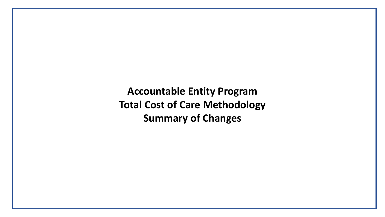**Accountable Entity Program Total Cost of Care Methodology Summary of Changes**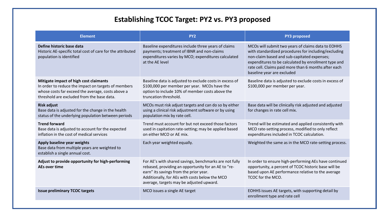## **Establishing TCOC Target: PY2 vs. PY3 proposed**

| <b>Element</b>                                                                                                                                                                                   | PY <sub>2</sub>                                                                                                                                                                                                                                       | <b>PY3 proposed</b>                                                                                                                                                                                                                                                                                     |
|--------------------------------------------------------------------------------------------------------------------------------------------------------------------------------------------------|-------------------------------------------------------------------------------------------------------------------------------------------------------------------------------------------------------------------------------------------------------|---------------------------------------------------------------------------------------------------------------------------------------------------------------------------------------------------------------------------------------------------------------------------------------------------------|
| Define historic base data<br>Historic AE-specific total cost of care for the attributed<br>population is identified                                                                              | Baseline expenditures include three years of claims<br>payments; treatment of IBNR and non-claims<br>expenditures varies by MCO; expenditures calculated<br>at the AE level                                                                           | MCOs will submit two years of claims data to EOHHS<br>with standardized procedures for including/excluding<br>non-claim based and sub-capitated expenses;<br>expenditures to be calculated by enrollment type and<br>rate cell. Claims paid more than 6 months after each<br>baseline year are excluded |
| Mitigate impact of high cost claimants<br>In order to reduce the impact on targets of members<br>whose costs far exceed the average, costs above a<br>threshold are excluded from the base data. | Baseline data is adjusted to exclude costs in excess of<br>\$100,000 per member per year. MCOs have the<br>option to include 10% of member costs above the<br>truncation threshold.                                                                   | Baseline data is adjusted to exclude costs in excess of<br>\$100,000 per member per year.                                                                                                                                                                                                               |
| <b>Risk adjust</b><br>Base data is adjusted for the change in the health<br>status of the underlying population between periods                                                                  | MCOs must risk adjust targets and can do so by either<br>using a clinical risk adjustment software or by using<br>population mix by rate cell.                                                                                                        | Base data will be clinically risk adjusted and adjusted<br>for changes in rate cell mix.                                                                                                                                                                                                                |
| <b>Trend forward</b><br>Base data is adjusted to account for the expected<br>inflation in the cost of medical services                                                                           | Trend must account for but not exceed those factors<br>used in capitation rate-setting; may be applied based<br>on either MCO or AE mix.                                                                                                              | Trend will be estimated and applied consistently with<br>MCO rate-setting process, modified to only reflect<br>expenditures included in TCOC calculation.                                                                                                                                               |
| Apply baseline year weights<br>Base data from multiple years are weighted to<br>establish a single annual cost.                                                                                  | Each year weighted equally.                                                                                                                                                                                                                           | Weighted the same as in the MCO rate-setting process.                                                                                                                                                                                                                                                   |
| Adjust to provide opportunity for high-performing<br>AEs over time                                                                                                                               | For AE's with shared savings, benchmarks are not fully<br>rebased, providing an opportunity for an AE to "re-<br>earn" its savings from the prior year.<br>Additionally, for AEs with costs below the MCO<br>average, targets may be adjusted upward. | In order to ensure high-performing AEs have continued<br>opportunity, a percent of TCOC historic base will be<br>based upon AE performance relative to the average<br>TCOC for the MCO.                                                                                                                 |
| <b>Issue preliminary TCOC targets</b>                                                                                                                                                            | MCO issues a single AE target                                                                                                                                                                                                                         | EOHHS issues AE targets, with supporting detail by<br>enrollment type and rate cell                                                                                                                                                                                                                     |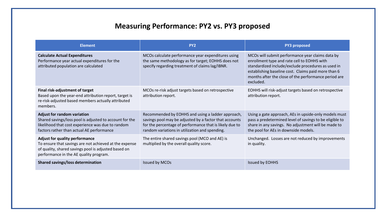## **Measuring Performance: PY2 vs. PY3 proposed**

| <b>Element</b>                                                                                                                                                                                    | PY <sub>2</sub>                                                                                                                                                                                                          | <b>PY3 proposed</b>                                                                                                                                                                                                                                                               |
|---------------------------------------------------------------------------------------------------------------------------------------------------------------------------------------------------|--------------------------------------------------------------------------------------------------------------------------------------------------------------------------------------------------------------------------|-----------------------------------------------------------------------------------------------------------------------------------------------------------------------------------------------------------------------------------------------------------------------------------|
| <b>Calculate Actual Expenditures</b><br>Performance year actual expenditures for the<br>attributed population are calculated                                                                      | MCOs calculate performance year expenditures using<br>the same methodology as for target; EOHHS does not<br>specify regarding treatment of claims lag/IBNR.                                                              | MCOs will submit performance year claims data by<br>enrollment type and rate cell to EOHHS with<br>standardized include/exclude procedures as used in<br>establishing baseline cost. Claims paid more than 6<br>months after the close of the performance period are<br>excluded. |
| Final risk-adjustment of target<br>Based upon the year-end attribution report, target is<br>re-risk-adjusted based members actually attributed<br>members.                                        | MCOs re-risk adjust targets based on retrospective<br>attribution report.                                                                                                                                                | EOHHS will risk-adjust targets based on retrospective<br>attribution report.                                                                                                                                                                                                      |
| <b>Adjust for random variation</b><br>Shared savings/loss pool is adjusted to account for the<br>likelihood that cost experience was due to random<br>factors rather than actual AE performance   | Recommended by EOHHS and using a ladder approach,<br>savings pool may be adjusted by a factor that accounts<br>for the percentage of performance that is likely due to<br>random variations in utilization and spending. | Using a gate approach, AEs in upside-only models must<br>pass a predetermined level of savings to be eligible to<br>share in any savings. No adjustment will be made to<br>the pool for AEs in downside models.                                                                   |
| <b>Adjust for quality performance</b><br>To ensure that savings are not achieved at the expense<br>of quality, shared savings pool is adjusted based on<br>performance in the AE quality program. | The entire shared savings pool (MCO and AE) is<br>multiplied by the overall quality score.                                                                                                                               | Unchanged. Losses are not reduced by improvements<br>in quality.                                                                                                                                                                                                                  |
| <b>Shared savings/loss determination</b>                                                                                                                                                          | Issued by MCOs                                                                                                                                                                                                           | <b>Issued by EOHHS</b>                                                                                                                                                                                                                                                            |